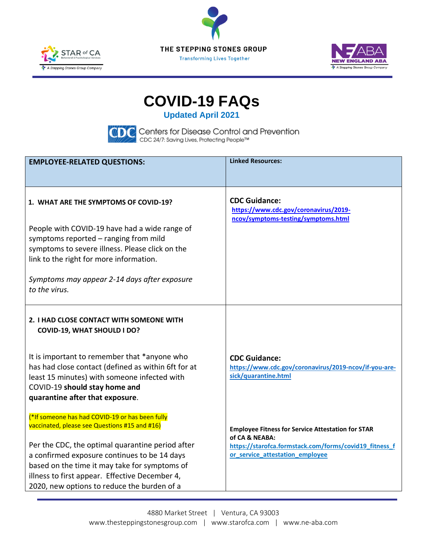





# **COVID-19 FAQs**

**Updated April 2021**



| <b>EMPLOYEE-RELATED QUESTIONS:</b>                                                                                                                                                                                                                                                                                                                                | <b>Linked Resources:</b>                                                                                                                                                |
|-------------------------------------------------------------------------------------------------------------------------------------------------------------------------------------------------------------------------------------------------------------------------------------------------------------------------------------------------------------------|-------------------------------------------------------------------------------------------------------------------------------------------------------------------------|
|                                                                                                                                                                                                                                                                                                                                                                   |                                                                                                                                                                         |
| 1. WHAT ARE THE SYMPTOMS OF COVID-19?                                                                                                                                                                                                                                                                                                                             | <b>CDC Guidance:</b><br>https://www.cdc.gov/coronavirus/2019-<br>ncov/symptoms-testing/symptoms.html                                                                    |
| People with COVID-19 have had a wide range of<br>symptoms reported - ranging from mild<br>symptoms to severe illness. Please click on the<br>link to the right for more information.                                                                                                                                                                              |                                                                                                                                                                         |
| Symptoms may appear 2-14 days after exposure<br>to the virus.                                                                                                                                                                                                                                                                                                     |                                                                                                                                                                         |
| 2. I HAD CLOSE CONTACT WITH SOMEONE WITH<br><b>COVID-19, WHAT SHOULD I DO?</b>                                                                                                                                                                                                                                                                                    |                                                                                                                                                                         |
| It is important to remember that *anyone who<br>has had close contact (defined as within 6ft for at<br>least 15 minutes) with someone infected with<br>COVID-19 should stay home and<br>quarantine after that exposure.                                                                                                                                           | <b>CDC Guidance:</b><br>https://www.cdc.gov/coronavirus/2019-ncov/if-you-are-<br>sick/quarantine.html                                                                   |
| <sup>*</sup> If someone has had COVID-19 or has been fully<br>vaccinated, please see Questions #15 and #16)<br>Per the CDC, the optimal quarantine period after<br>a confirmed exposure continues to be 14 days<br>based on the time it may take for symptoms of<br>illness to first appear. Effective December 4,<br>2020, new options to reduce the burden of a | <b>Employee Fitness for Service Attestation for STAR</b><br>of CA & NEABA:<br>https://starofca.formstack.com/forms/covid19_fitness_f<br>or_service_attestation_employee |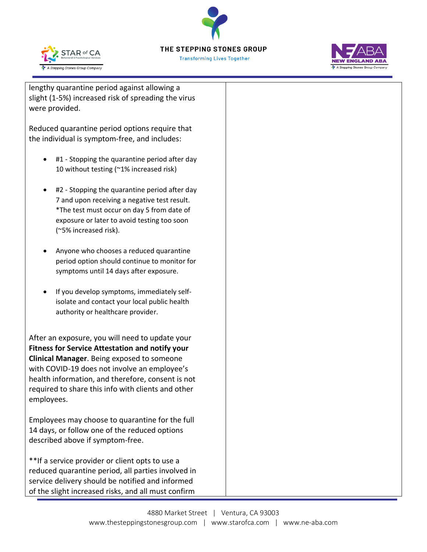

**Transforming Lives Together** 



lengthy quarantine period against allowing a slight (1-5%) increased risk of spreading the virus were provided.

Reduced quarantine period options require that the individual is symptom-free, and includes:

- #1 Stopping the quarantine period after day 10 without testing (~1% increased risk)
- #2 Stopping the quarantine period after day 7 and upon receiving a negative test result. \*The test must occur on day 5 from date of exposure or later to avoid testing too soon (~5% increased risk).
- Anyone who chooses a reduced quarantine period option should continue to monitor for symptoms until 14 days after exposure.
- If you develop symptoms, immediately selfisolate and contact your local public health authority or healthcare provider.

After an exposure, you will need to update your **Fitness for Service Attestation and notify your Clinical Manager**. Being exposed to someone with COVID-19 does not involve an employee's health information, and therefore, consent is not required to share this info with clients and other employees.

Employees may choose to quarantine for the full 14 days, or follow one of the reduced options described above if symptom-free.

\*\*If a service provider or client opts to use a reduced quarantine period, all parties involved in service delivery should be notified and informed of the slight increased risks, and all must confirm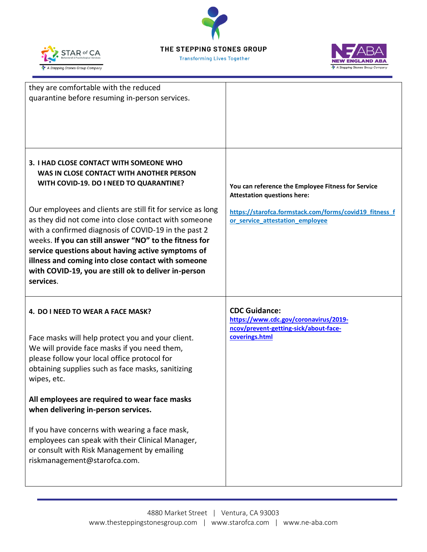





| they are comfortable with the reduced<br>quarantine before resuming in-person services.                                                                                                                                                                                                                                                                                                                                                                                                                                                                 |                                                                                                                                                                                       |
|---------------------------------------------------------------------------------------------------------------------------------------------------------------------------------------------------------------------------------------------------------------------------------------------------------------------------------------------------------------------------------------------------------------------------------------------------------------------------------------------------------------------------------------------------------|---------------------------------------------------------------------------------------------------------------------------------------------------------------------------------------|
| 3. I HAD CLOSE CONTACT WITH SOMEONE WHO<br>WAS IN CLOSE CONTACT WITH ANOTHER PERSON<br>WITH COVID-19. DO I NEED TO QUARANTINE?<br>Our employees and clients are still fit for service as long<br>as they did not come into close contact with someone<br>with a confirmed diagnosis of COVID-19 in the past 2<br>weeks. If you can still answer "NO" to the fitness for<br>service questions about having active symptoms of<br>illness and coming into close contact with someone<br>with COVID-19, you are still ok to deliver in-person<br>services. | You can reference the Employee Fitness for Service<br><b>Attestation questions here:</b><br>https://starofca.formstack.com/forms/covid19_fitness_f<br>or_service_attestation_employee |
| 4. DO I NEED TO WEAR A FACE MASK?<br>Face masks will help protect you and your client.<br>We will provide face masks if you need them,<br>please follow your local office protocol for<br>obtaining supplies such as face masks, sanitizing<br>wipes, etc.                                                                                                                                                                                                                                                                                              | <b>CDC Guidance:</b><br>https://www.cdc.gov/coronavirus/2019-<br>ncov/prevent-getting-sick/about-face-<br>coverings.html                                                              |
| All employees are required to wear face masks<br>when delivering in-person services.<br>If you have concerns with wearing a face mask,<br>employees can speak with their Clinical Manager,<br>or consult with Risk Management by emailing<br>riskmanagement@starofca.com.                                                                                                                                                                                                                                                                               |                                                                                                                                                                                       |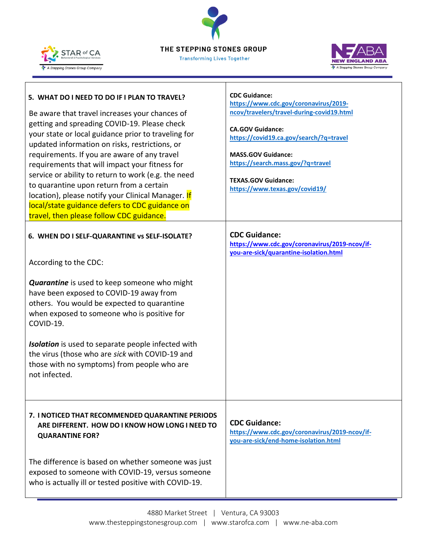**STAR of CA** A Stepping Stones Group Company



| 5. WHAT DO I NEED TO DO IF I PLAN TO TRAVEL?<br>Be aware that travel increases your chances of<br>getting and spreading COVID-19. Please check<br>your state or local guidance prior to traveling for<br>updated information on risks, restrictions, or<br>requirements. If you are aware of any travel<br>requirements that will impact your fitness for<br>service or ability to return to work (e.g. the need<br>to quarantine upon return from a certain<br>location), please notify your Clinical Manager. If<br>local/state guidance defers to CDC guidance on<br>travel, then please follow CDC guidance.<br>6. WHEN DO I SELF-QUARANTINE vs SELF-ISOLATE?<br>According to the CDC:<br><b>Quarantine</b> is used to keep someone who might<br>have been exposed to COVID-19 away from<br>others. You would be expected to quarantine<br>when exposed to someone who is positive for<br>COVID-19.<br><b>Isolation</b> is used to separate people infected with<br>the virus (those who are sick with COVID-19 and<br>those with no symptoms) from people who are<br>not infected. | <b>CDC Guidance:</b><br>https://www.cdc.gov/coronavirus/2019-<br>ncov/travelers/travel-during-covid19.html<br><b>CA.GOV Guidance:</b><br>https://covid19.ca.gov/search/?q=travel<br><b>MASS.GOV Guidance:</b><br>https://search.mass.gov/?q=travel<br><b>TEXAS.GOV Guidance:</b><br>https://www.texas.gov/covid19/<br><b>CDC Guidance:</b><br>https://www.cdc.gov/coronavirus/2019-ncov/if-<br>you-are-sick/quarantine-isolation.html |
|-----------------------------------------------------------------------------------------------------------------------------------------------------------------------------------------------------------------------------------------------------------------------------------------------------------------------------------------------------------------------------------------------------------------------------------------------------------------------------------------------------------------------------------------------------------------------------------------------------------------------------------------------------------------------------------------------------------------------------------------------------------------------------------------------------------------------------------------------------------------------------------------------------------------------------------------------------------------------------------------------------------------------------------------------------------------------------------------|---------------------------------------------------------------------------------------------------------------------------------------------------------------------------------------------------------------------------------------------------------------------------------------------------------------------------------------------------------------------------------------------------------------------------------------|
| 7. I NOTICED THAT RECOMMENDED QUARANTINE PERIODS<br>ARE DIFFERENT. HOW DO I KNOW HOW LONG I NEED TO<br><b>QUARANTINE FOR?</b>                                                                                                                                                                                                                                                                                                                                                                                                                                                                                                                                                                                                                                                                                                                                                                                                                                                                                                                                                           | <b>CDC Guidance:</b><br>https://www.cdc.gov/coronavirus/2019-ncov/if-<br>you-are-sick/end-home-isolation.html                                                                                                                                                                                                                                                                                                                         |
| The difference is based on whether someone was just<br>exposed to someone with COVID-19, versus someone<br>who is actually ill or tested positive with COVID-19.                                                                                                                                                                                                                                                                                                                                                                                                                                                                                                                                                                                                                                                                                                                                                                                                                                                                                                                        |                                                                                                                                                                                                                                                                                                                                                                                                                                       |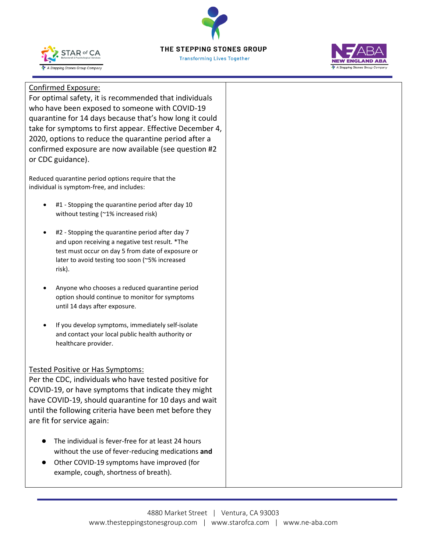





## Confirmed Exposure:

For optimal safety, it is recommended that individuals who have been exposed to someone with COVID-19 quarantine for 14 days because that's how long it could take for symptoms to first appear. Effective December 4, 2020, options to reduce the quarantine period after a confirmed exposure are now available (see question #2 or CDC guidance).

Reduced quarantine period options require that the individual is symptom-free, and includes:

- #1 Stopping the quarantine period after day 10 without testing (~1% increased risk)
- #2 Stopping the quarantine period after day 7 and upon receiving a negative test result. \*The test must occur on day 5 from date of exposure or later to avoid testing too soon (~5% increased risk).
- Anyone who chooses a reduced quarantine period option should continue to monitor for symptoms until 14 days after exposure.
- If you develop symptoms, immediately self-isolate and contact your local public health authority or healthcare provider.

#### Tested Positive or Has Symptoms:

Per the CDC, individuals who have tested positive for COVID-19, or have symptoms that indicate they might have COVID-19, should quarantine for 10 days and wait until the following criteria have been met before they are fit for service again:

- The individual is fever-free for at least 24 hours without the use of fever-reducing medications **and**
- Other COVID-19 symptoms have improved (for example, cough, shortness of breath).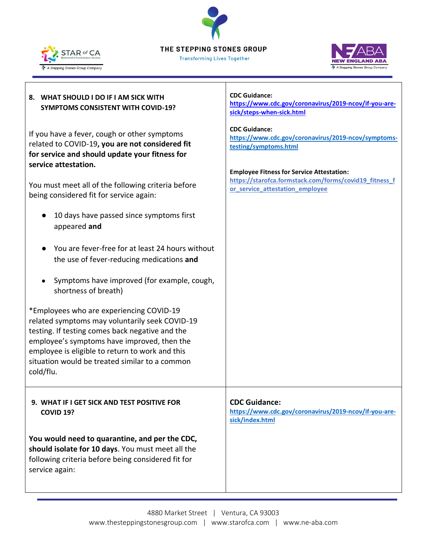**Transforming Lives Together** 





## **8. WHAT SHOULD I DO IF I AM SICK WITH SYMPTOMS CONSISTENT WITH COVID-19?** If you have a fever, cough or other symptoms related to COVID-19**, you are not considered fit for service and should update your fitness for service attestation.**  You must meet all of the following criteria before being considered fit for service again: ● 10 days have passed since symptoms first appeared **and** ● You are fever-free for at least 24 hours without the use of fever-reducing medications **and** ● Symptoms have improved (for example, cough, shortness of breath) \*Employees who are experiencing COVID-19 related symptoms may voluntarily seek COVID-19 testing. If testing comes back negative and the employee's symptoms have improved, then the employee is eligible to return to work and this situation would be treated similar to a common cold/flu. **CDC Guidance: [https://www.cdc.gov/coronavirus/2019-ncov/if-you-are](https://www.cdc.gov/coronavirus/2019-ncov/if-you-are-sick/steps-when-sick.html)[sick/steps-when-sick.html](https://www.cdc.gov/coronavirus/2019-ncov/if-you-are-sick/steps-when-sick.html) CDC Guidance: [https://www.cdc.gov/coronavirus/2019-ncov/symptoms](https://www.cdc.gov/coronavirus/2019-ncov/symptoms-testing/symptoms.html)[testing/symptoms.html](https://www.cdc.gov/coronavirus/2019-ncov/symptoms-testing/symptoms.html) Employee Fitness for Service Attestation: [https://starofca.formstack.com/forms/covid19\\_fitness\\_f](https://starofca.formstack.com/forms/covid19_fitness_for_service_attestation_employee) [or\\_service\\_attestation\\_employee](https://starofca.formstack.com/forms/covid19_fitness_for_service_attestation_employee) 9. WHAT IF I GET SICK AND TEST POSITIVE FOR COVID 19? You would need to quarantine, and per the CDC, should isolate for 10 days**. You must meet all the following criteria before being considered fit for service again: **CDC Guidance: [https://www.cdc.gov/coronavirus/2019-ncov/if-you-are](https://www.cdc.gov/coronavirus/2019-ncov/if-you-are-sick/index.html)[sick/index.html](https://www.cdc.gov/coronavirus/2019-ncov/if-you-are-sick/index.html)**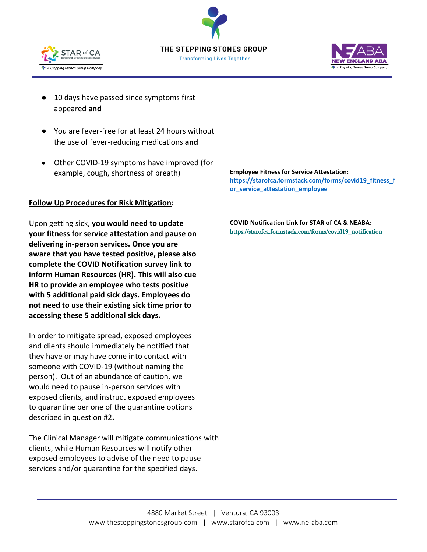





- 10 days have passed since symptoms first appeared **and**
- You are fever-free for at least 24 hours without the use of fever-reducing medications **and**
- Other COVID-19 symptoms have improved (for example, cough, shortness of breath)

#### **Follow Up Procedures for Risk Mitigation:**

Upon getting sick, **you would need to update your fitness for service attestation and pause on delivering in-person services. Once you are aware that you have tested positive, please also complete the COVID Notification survey link to inform Human Resources (HR). This will also cue HR to provide an employee who tests positive with 5 additional paid sick days. Employees do not need to use their existing sick time prior to accessing these 5 additional sick days.** 

In order to mitigate spread, exposed employees and clients should immediately be notified that they have or may have come into contact with someone with COVID-19 (without naming the person). Out of an abundance of caution, we would need to pause in-person services with exposed clients, and instruct exposed employees to quarantine per one of the quarantine options described in question #2**.** 

The Clinical Manager will mitigate communications with clients, while Human Resources will notify other exposed employees to advise of the need to pause services and/or quarantine for the specified days.

**Employee Fitness for Service Attestation: [https://starofca.formstack.com/forms/covid19\\_fitness\\_f](https://starofca.formstack.com/forms/covid19_fitness_for_service_attestation_employee) [or\\_service\\_attestation\\_employee](https://starofca.formstack.com/forms/covid19_fitness_for_service_attestation_employee)**

**COVID Notification Link for STAR of CA & NEABA:** [https://starofca.formstack.com/forms/covid19\\_notification](https://starofca.formstack.com/forms/covid19_notification)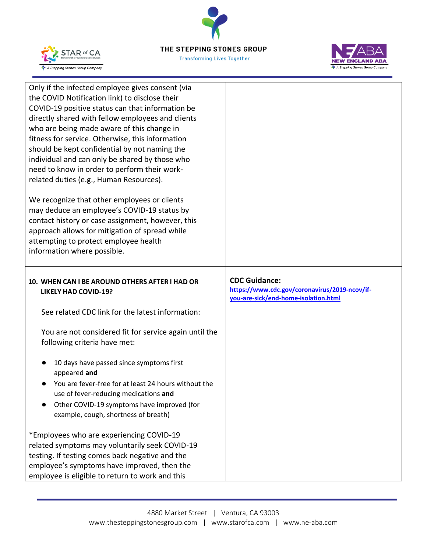

**Transforming Lives Together** 



| Only if the infected employee gives consent (via<br>the COVID Notification link) to disclose their<br>COVID-19 positive status can that information be<br>directly shared with fellow employees and clients<br>who are being made aware of this change in<br>fitness for service. Otherwise, this information<br>should be kept confidential by not naming the<br>individual and can only be shared by those who<br>need to know in order to perform their work-<br>related duties (e.g., Human Resources). |                                                                                                               |
|-------------------------------------------------------------------------------------------------------------------------------------------------------------------------------------------------------------------------------------------------------------------------------------------------------------------------------------------------------------------------------------------------------------------------------------------------------------------------------------------------------------|---------------------------------------------------------------------------------------------------------------|
| We recognize that other employees or clients<br>may deduce an employee's COVID-19 status by<br>contact history or case assignment, however, this<br>approach allows for mitigation of spread while<br>attempting to protect employee health<br>information where possible.                                                                                                                                                                                                                                  |                                                                                                               |
| 10. WHEN CAN I BE AROUND OTHERS AFTER I HAD OR<br><b>LIKELY HAD COVID-19?</b>                                                                                                                                                                                                                                                                                                                                                                                                                               | <b>CDC Guidance:</b><br>https://www.cdc.gov/coronavirus/2019-ncov/if-<br>you-are-sick/end-home-isolation.html |
| See related CDC link for the latest information:                                                                                                                                                                                                                                                                                                                                                                                                                                                            |                                                                                                               |
| You are not considered fit for service again until the<br>following criteria have met:                                                                                                                                                                                                                                                                                                                                                                                                                      |                                                                                                               |
| 10 days have passed since symptoms first<br>appeared and                                                                                                                                                                                                                                                                                                                                                                                                                                                    |                                                                                                               |
| You are fever-free for at least 24 hours without the<br>use of fever-reducing medications and<br>Other COVID-19 symptoms have improved (for<br>example, cough, shortness of breath)                                                                                                                                                                                                                                                                                                                         |                                                                                                               |
|                                                                                                                                                                                                                                                                                                                                                                                                                                                                                                             |                                                                                                               |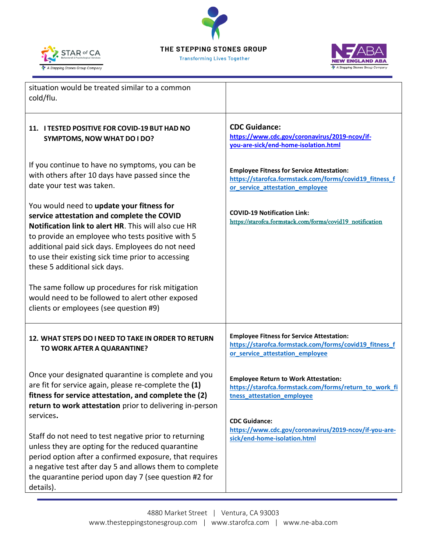





| situation would be treated similar to a common<br>cold/flu.                                                                                                                                                                                                                                                                                                                                                                                                                                       |                                                                                                                                               |
|---------------------------------------------------------------------------------------------------------------------------------------------------------------------------------------------------------------------------------------------------------------------------------------------------------------------------------------------------------------------------------------------------------------------------------------------------------------------------------------------------|-----------------------------------------------------------------------------------------------------------------------------------------------|
| 11. I TESTED POSITIVE FOR COVID-19 BUT HAD NO<br><b>SYMPTOMS, NOW WHAT DO I DO?</b>                                                                                                                                                                                                                                                                                                                                                                                                               | <b>CDC Guidance:</b><br>https://www.cdc.gov/coronavirus/2019-ncov/if-<br>you-are-sick/end-home-isolation.html                                 |
| If you continue to have no symptoms, you can be<br>with others after 10 days have passed since the<br>date your test was taken.                                                                                                                                                                                                                                                                                                                                                                   | <b>Employee Fitness for Service Attestation:</b><br>https://starofca.formstack.com/forms/covid19_fitness_f<br>or_service_attestation_employee |
| You would need to update your fitness for<br>service attestation and complete the COVID<br>Notification link to alert HR. This will also cue HR<br>to provide an employee who tests positive with 5<br>additional paid sick days. Employees do not need<br>to use their existing sick time prior to accessing<br>these 5 additional sick days.<br>The same follow up procedures for risk mitigation<br>would need to be followed to alert other exposed<br>clients or employees (see question #9) | <b>COVID-19 Notification Link:</b><br>https://starofca.formstack.com/forms/covid19_notification                                               |
| 12. WHAT STEPS DO I NEED TO TAKE IN ORDER TO RETURN<br>TO WORK AFTER A QUARANTINE?                                                                                                                                                                                                                                                                                                                                                                                                                | <b>Employee Fitness for Service Attestation:</b><br>https://starofca.formstack.com/forms/covid19_fitness_f<br>or service attestation employee |
| Once your designated quarantine is complete and you<br>are fit for service again, please re-complete the (1)<br>fitness for service attestation, and complete the (2)<br>return to work attestation prior to delivering in-person                                                                                                                                                                                                                                                                 | <b>Employee Return to Work Attestation:</b><br>https://starofca.formstack.com/forms/return_to_work_fi<br>tness_attestation_employee           |
| services.<br>Staff do not need to test negative prior to returning<br>unless they are opting for the reduced quarantine<br>period option after a confirmed exposure, that requires<br>a negative test after day 5 and allows them to complete<br>the quarantine period upon day 7 (see question #2 for<br>details).                                                                                                                                                                               | <b>CDC Guidance:</b><br>https://www.cdc.gov/coronavirus/2019-ncov/if-you-are-<br>sick/end-home-isolation.html                                 |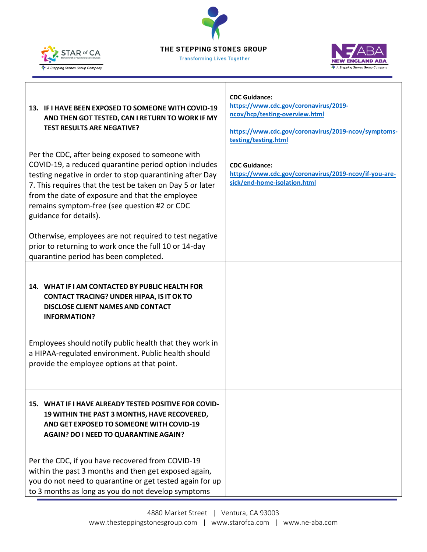





|                                                                                                                                                                                                                                    | <b>CDC Guidance:</b>                                                                                          |
|------------------------------------------------------------------------------------------------------------------------------------------------------------------------------------------------------------------------------------|---------------------------------------------------------------------------------------------------------------|
| 13. IF I HAVE BEEN EXPOSED TO SOMEONE WITH COVID-19                                                                                                                                                                                | https://www.cdc.gov/coronavirus/2019-                                                                         |
| AND THEN GOT TESTED, CAN I RETURN TO WORK IF MY                                                                                                                                                                                    | ncov/hcp/testing-overview.html                                                                                |
| <b>TEST RESULTS ARE NEGATIVE?</b>                                                                                                                                                                                                  | https://www.cdc.gov/coronavirus/2019-ncov/symptoms-                                                           |
|                                                                                                                                                                                                                                    | testing/testing.html                                                                                          |
| Per the CDC, after being exposed to someone with<br>COVID-19, a reduced quarantine period option includes<br>testing negative in order to stop quarantining after Day<br>7. This requires that the test be taken on Day 5 or later | <b>CDC Guidance:</b><br>https://www.cdc.gov/coronavirus/2019-ncov/if-you-are-<br>sick/end-home-isolation.html |
| from the date of exposure and that the employee<br>remains symptom-free (see question #2 or CDC<br>guidance for details).                                                                                                          |                                                                                                               |
| Otherwise, employees are not required to test negative<br>prior to returning to work once the full 10 or 14-day                                                                                                                    |                                                                                                               |
| quarantine period has been completed.                                                                                                                                                                                              |                                                                                                               |
| 14. WHAT IF I AM CONTACTED BY PUBLIC HEALTH FOR<br><b>CONTACT TRACING? UNDER HIPAA, IS IT OK TO</b><br><b>DISCLOSE CLIENT NAMES AND CONTACT</b><br><b>INFORMATION?</b><br>Employees should notify public health that they work in  |                                                                                                               |
| a HIPAA-regulated environment. Public health should<br>provide the employee options at that point.                                                                                                                                 |                                                                                                               |
| 15. WHAT IF I HAVE ALREADY TESTED POSITIVE FOR COVID-<br>19 WITHIN THE PAST 3 MONTHS, HAVE RECOVERED,<br>AND GET EXPOSED TO SOMEONE WITH COVID-19<br>AGAIN? DO I NEED TO QUARANTINE AGAIN?                                         |                                                                                                               |
| Per the CDC, if you have recovered from COVID-19                                                                                                                                                                                   |                                                                                                               |
| within the past 3 months and then get exposed again,                                                                                                                                                                               |                                                                                                               |
| you do not need to quarantine or get tested again for up                                                                                                                                                                           |                                                                                                               |
| to 3 months as long as you do not develop symptoms                                                                                                                                                                                 |                                                                                                               |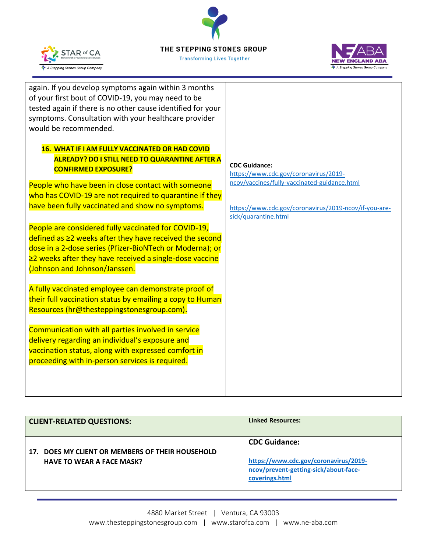

**Transforming Lives Together** 



| again. If you develop symptoms again within 3 months<br>of your first bout of COVID-19, you may need to be<br>tested again if there is no other cause identified for your<br>symptoms. Consultation with your healthcare provider<br>would be recommended. |                                                       |
|------------------------------------------------------------------------------------------------------------------------------------------------------------------------------------------------------------------------------------------------------------|-------------------------------------------------------|
|                                                                                                                                                                                                                                                            |                                                       |
| 16. WHAT IF I AM FULLY VACCINATED OR HAD COVID                                                                                                                                                                                                             |                                                       |
| <b>ALREADY? DO I STILL NEED TO QUARANTINE AFTER A</b>                                                                                                                                                                                                      | <b>CDC Guidance:</b>                                  |
| <b>CONFIRMED EXPOSURE?</b>                                                                                                                                                                                                                                 | https://www.cdc.gov/coronavirus/2019-                 |
| People who have been in close contact with someone                                                                                                                                                                                                         | ncov/vaccines/fully-vaccinated-guidance.html          |
| who has COVID-19 are not required to quarantine if they                                                                                                                                                                                                    |                                                       |
| have been fully vaccinated and show no symptoms.                                                                                                                                                                                                           | https://www.cdc.gov/coronavirus/2019-ncov/if-you-are- |
|                                                                                                                                                                                                                                                            | sick/quarantine.html                                  |
| People are considered fully vaccinated for COVID-19,                                                                                                                                                                                                       |                                                       |
| $defined$ as $\geq 2$ weeks after they have received the second                                                                                                                                                                                            |                                                       |
| dose in a 2-dose series (Pfizer-BioNTech or Moderna); or                                                                                                                                                                                                   |                                                       |
| $\geq$ 2 weeks after they have received a single-dose vaccine                                                                                                                                                                                              |                                                       |
| (Johnson and Johnson/Janssen.                                                                                                                                                                                                                              |                                                       |
| A fully vaccinated employee can demonstrate proof of                                                                                                                                                                                                       |                                                       |
| their full vaccination status by emailing a copy to Human                                                                                                                                                                                                  |                                                       |
| Resources (hr@thesteppingstonesgroup.com).                                                                                                                                                                                                                 |                                                       |
|                                                                                                                                                                                                                                                            |                                                       |
| Communication with all parties involved in service                                                                                                                                                                                                         |                                                       |
| delivery regarding an individual's exposure and                                                                                                                                                                                                            |                                                       |
| vaccination status, along with expressed comfort in                                                                                                                                                                                                        |                                                       |
| proceeding with in-person services is required.                                                                                                                                                                                                            |                                                       |
|                                                                                                                                                                                                                                                            |                                                       |
|                                                                                                                                                                                                                                                            |                                                       |
|                                                                                                                                                                                                                                                            |                                                       |

| <b>CLIENT-RELATED QUESTIONS:</b>                                                        | <b>Linked Resources:</b>                                                                                                 |
|-----------------------------------------------------------------------------------------|--------------------------------------------------------------------------------------------------------------------------|
| DOES MY CLIENT OR MEMBERS OF THEIR HOUSEHOLD<br>17.<br><b>HAVE TO WEAR A FACE MASK?</b> | <b>CDC Guidance:</b><br>https://www.cdc.gov/coronavirus/2019-<br>ncov/prevent-getting-sick/about-face-<br>coverings.html |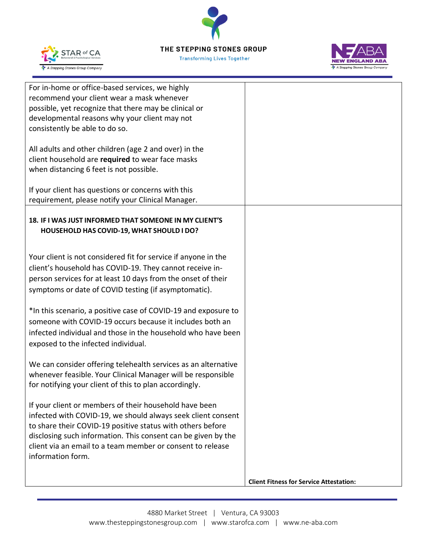STAR of CA A Stepping Stones Group Company



| For in-home or office-based services, we highly<br>recommend your client wear a mask whenever<br>possible, yet recognize that there may be clinical or<br>developmental reasons why your client may not<br>consistently be able to do so.                                                                                                |                                                |
|------------------------------------------------------------------------------------------------------------------------------------------------------------------------------------------------------------------------------------------------------------------------------------------------------------------------------------------|------------------------------------------------|
| All adults and other children (age 2 and over) in the<br>client household are required to wear face masks<br>when distancing 6 feet is not possible.                                                                                                                                                                                     |                                                |
| If your client has questions or concerns with this<br>requirement, please notify your Clinical Manager.                                                                                                                                                                                                                                  |                                                |
| 18. IF I WAS JUST INFORMED THAT SOMEONE IN MY CLIENT'S<br>HOUSEHOLD HAS COVID-19, WHAT SHOULD I DO?                                                                                                                                                                                                                                      |                                                |
| Your client is not considered fit for service if anyone in the<br>client's household has COVID-19. They cannot receive in-<br>person services for at least 10 days from the onset of their<br>symptoms or date of COVID testing (if asymptomatic).                                                                                       |                                                |
| *In this scenario, a positive case of COVID-19 and exposure to<br>someone with COVID-19 occurs because it includes both an<br>infected individual and those in the household who have been<br>exposed to the infected individual.                                                                                                        |                                                |
| We can consider offering telehealth services as an alternative<br>whenever feasible. Your Clinical Manager will be responsible<br>for notifying your client of this to plan accordingly.                                                                                                                                                 |                                                |
| If your client or members of their household have been<br>infected with COVID-19, we should always seek client consent<br>to share their COVID-19 positive status with others before<br>disclosing such information. This consent can be given by the<br>client via an email to a team member or consent to release<br>information form. |                                                |
|                                                                                                                                                                                                                                                                                                                                          | <b>Client Fitness for Service Attestation:</b> |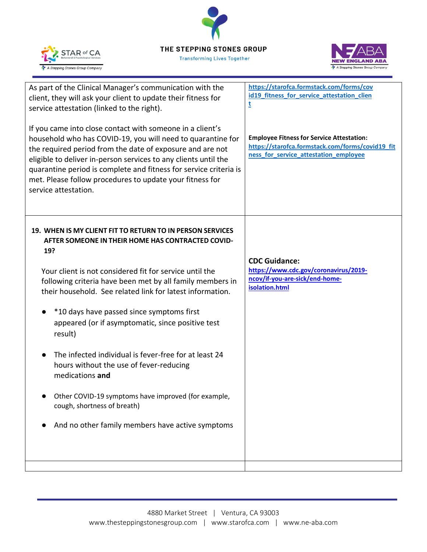



| As part of the Clinical Manager's communication with the<br>client, they will ask your client to update their fitness for<br>service attestation (linked to the right).<br>If you came into close contact with someone in a client's<br>household who has COVID-19, you will need to quarantine for<br>the required period from the date of exposure and are not<br>eligible to deliver in-person services to any clients until the<br>quarantine period is complete and fitness for service criteria is<br>met. Please follow procedures to update your fitness for<br>service attestation.                                                                                             | https://starofca.formstack.com/forms/cov<br>id19_fitness_for_service_attestation_clien<br>t<br><b>Employee Fitness for Service Attestation:</b><br>https://starofca.formstack.com/forms/covid19_fit<br>ness_for_service_attestation_employee |
|------------------------------------------------------------------------------------------------------------------------------------------------------------------------------------------------------------------------------------------------------------------------------------------------------------------------------------------------------------------------------------------------------------------------------------------------------------------------------------------------------------------------------------------------------------------------------------------------------------------------------------------------------------------------------------------|----------------------------------------------------------------------------------------------------------------------------------------------------------------------------------------------------------------------------------------------|
| 19. WHEN IS MY CLIENT FIT TO RETURN TO IN PERSON SERVICES<br>AFTER SOMEONE IN THEIR HOME HAS CONTRACTED COVID-<br>19?<br>Your client is not considered fit for service until the<br>following criteria have been met by all family members in<br>their household. See related link for latest information.<br>*10 days have passed since symptoms first<br>appeared (or if asymptomatic, since positive test<br>result)<br>The infected individual is fever-free for at least 24<br>hours without the use of fever-reducing<br>medications and<br>Other COVID-19 symptoms have improved (for example,<br>cough, shortness of breath)<br>And no other family members have active symptoms | <b>CDC Guidance:</b><br>https://www.cdc.gov/coronavirus/2019-<br>ncov/if-you-are-sick/end-home-<br>isolation.html                                                                                                                            |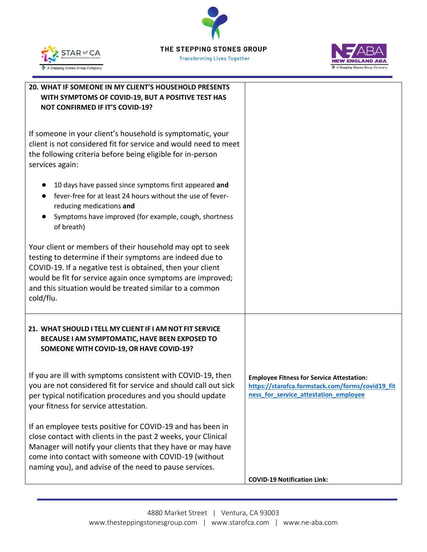



| 20. WHAT IF SOMEONE IN MY CLIENT'S HOUSEHOLD PRESENTS<br>WITH SYMPTOMS OF COVID-19, BUT A POSITIVE TEST HAS<br><b>NOT CONFIRMED IF IT'S COVID-19?</b>                                                                                                                                                                     |                                                                                                                                               |
|---------------------------------------------------------------------------------------------------------------------------------------------------------------------------------------------------------------------------------------------------------------------------------------------------------------------------|-----------------------------------------------------------------------------------------------------------------------------------------------|
| If someone in your client's household is symptomatic, your<br>client is not considered fit for service and would need to meet<br>the following criteria before being eligible for in-person<br>services again:                                                                                                            |                                                                                                                                               |
| 10 days have passed since symptoms first appeared and<br>fever-free for at least 24 hours without the use of fever-<br>reducing medications and<br>Symptoms have improved (for example, cough, shortness<br>of breath)                                                                                                    |                                                                                                                                               |
| Your client or members of their household may opt to seek<br>testing to determine if their symptoms are indeed due to<br>COVID-19. If a negative test is obtained, then your client<br>would be fit for service again once symptoms are improved;<br>and this situation would be treated similar to a common<br>cold/flu. |                                                                                                                                               |
| 21. WHAT SHOULD I TELL MY CLIENT IF I AM NOT FIT SERVICE<br>BECAUSE I AM SYMPTOMATIC, HAVE BEEN EXPOSED TO<br>SOMEONE WITH COVID-19, OR HAVE COVID-19?                                                                                                                                                                    |                                                                                                                                               |
| If you are ill with symptoms consistent with COVID-19, then<br>you are not considered fit for service and should call out sick<br>per typical notification procedures and you should update<br>your fitness for service attestation.                                                                                      | <b>Employee Fitness for Service Attestation:</b><br>https://starofca.formstack.com/forms/covid19_fit<br>ness_for_service_attestation_employee |
| If an employee tests positive for COVID-19 and has been in<br>close contact with clients in the past 2 weeks, your Clinical<br>Manager will notify your clients that they have or may have<br>come into contact with someone with COVID-19 (without<br>naming you), and advise of the need to pause services.             | <b>COVID-19 Notification Link:</b>                                                                                                            |
|                                                                                                                                                                                                                                                                                                                           |                                                                                                                                               |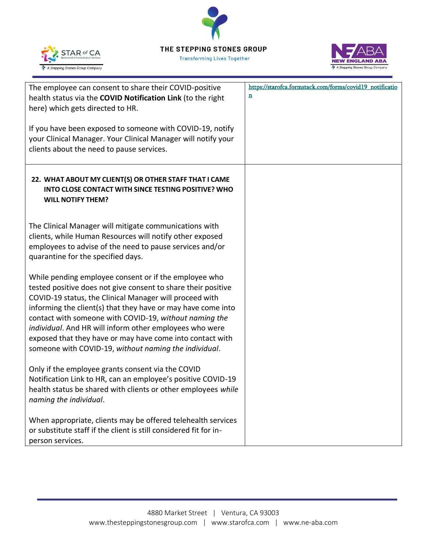**Transforming Lives Together** 





| The employee can consent to share their COVID-positive<br>health status via the COVID Notification Link (to the right<br>here) which gets directed to HR.<br>If you have been exposed to someone with COVID-19, notify<br>your Clinical Manager. Your Clinical Manager will notify your<br>clients about the need to pause services.                                                                                                                                                         | https://starofca.formstack.com/forms/covid19_notificatio<br>n |
|----------------------------------------------------------------------------------------------------------------------------------------------------------------------------------------------------------------------------------------------------------------------------------------------------------------------------------------------------------------------------------------------------------------------------------------------------------------------------------------------|---------------------------------------------------------------|
| 22. WHAT ABOUT MY CLIENT(S) OR OTHER STAFF THAT I CAME<br>INTO CLOSE CONTACT WITH SINCE TESTING POSITIVE? WHO<br><b>WILL NOTIFY THEM?</b>                                                                                                                                                                                                                                                                                                                                                    |                                                               |
| The Clinical Manager will mitigate communications with<br>clients, while Human Resources will notify other exposed<br>employees to advise of the need to pause services and/or<br>quarantine for the specified days.                                                                                                                                                                                                                                                                         |                                                               |
| While pending employee consent or if the employee who<br>tested positive does not give consent to share their positive<br>COVID-19 status, the Clinical Manager will proceed with<br>informing the client(s) that they have or may have come into<br>contact with someone with COVID-19, without naming the<br>individual. And HR will inform other employees who were<br>exposed that they have or may have come into contact with<br>someone with COVID-19, without naming the individual. |                                                               |
| Only if the employee grants consent via the COVID<br>Notification Link to HR, can an employee's positive COVID-19<br>health status be shared with clients or other employees while<br>naming the individual.                                                                                                                                                                                                                                                                                 |                                                               |
| When appropriate, clients may be offered telehealth services<br>or substitute staff if the client is still considered fit for in-<br>person services.                                                                                                                                                                                                                                                                                                                                        |                                                               |